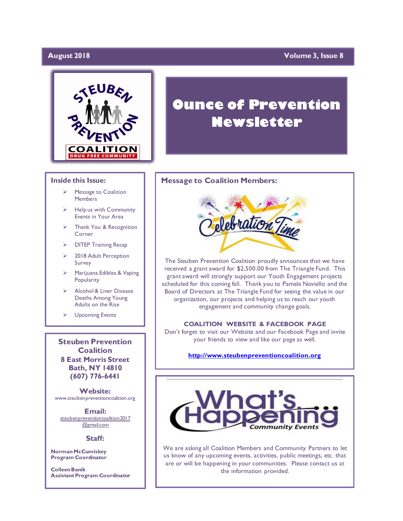# **August 2018**

# **Yolume 3, Issue 8**



#### **Inside this Issue:**

- ➢ Message to Coalition **Members**
- Help us with Community Events in Your Area
- Thank You & Recognition Corner
- ➢ DITEP Training Recap
- 2018 Adult Perception Survey
- ➢ Marijuana Edibles & Vaping **Popularity**
- ➢ Alcohol & Liver Disease Deaths Among Young Adults on the Rise
- ➢ Upcoming Events

**Steuben Prevention Coalition 8 East Morris Street Bath, NY 14810 (607) 776-6441**

**Website:**  www.steubenpreventioncoalition.org

**Email:**  steubenpreventioncoalition2017 @gmail.com

### **Staff:**

**Norman McCumiskey Program Coordinator**

**Colleen Banik Assistant Program Coordinator**

# **Ounce of Prevention Newsletter**

### **Message to Coalition Members:**



The Steuben Prevention Coalition proudly announces that we have received a grant award for \$2,500.00 from The Triangle Fund. This grant award will strongly support our Youth Engagement projects scheduled for this coming fall. Thank you to Pamela Noviello and the Board of Directors at The Triangle Fund for seeing the value in our organization, our projects and helping us to reach our youth engagement and community change goals.

**COALITION WEBSITE & FACEBOOK PAGE** Don't forget to visit our Website and our Facebook Page and invite your friends to view and like our page as well.

### **[http://www.steubenpreventioncoalition.org](http://www.steubenpreventioncoalition.org/)**



We are asking all Coalition Members and Community Partners to let us know of any upcoming events, activities, public meetings, etc. that are or will be happening in your communities. Please contact us at the information provided.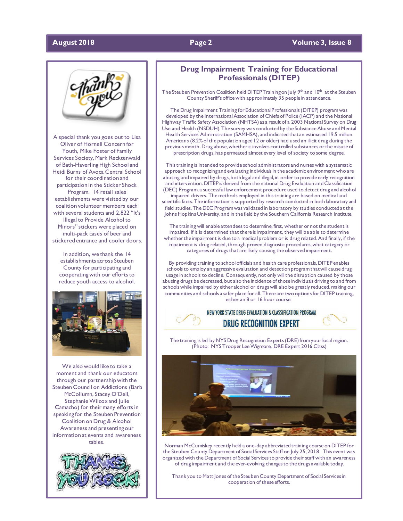### **August 2018 Page 2 Volume 3, Issue 8**



A special thank you goes out to Lisa Oliver of Hornell Concern for Youth, Mike Foster of Family Services Society, Mark Recktenwald of Bath-Haverling High School and Heidi Burns of Avoca Central School for their coordination and participation in the Sticker Shock Program. 14 retail sales establishments were visited by our coalition volunteer members each with several students and 2,822 "It's Illegal to Provide Alcohol to Minors" stickers were placed on multi-pack cases of beer and stickered entrance and cooler doors.

In addition, we thank the 14 establishments across Steuben County for participating and cooperating with our efforts to reduce youth access to alcohol.



We also would like to take a moment and thank our educators through our partnership with the Steuben Council on Addictions (Barb McCollumn, Stacey O'Dell, Stephanie Wilcox and Julie Camacho) for their many efforts in speaking for the Steuben Prevention Coalition on Drug & Alcohol Awareness and presenting our information at events and awareness tables.



# **Drug Impairment Training for Educational Professionals (DITEP)**

The Steuben Prevention Coalition held DITEP Training on July  $9<sup>th</sup>$  and 10<sup>th</sup> at the Steuben County Sheriff's office with approximately 35 people in attendance.

The Drug Impairment Training for Educational Professionals (DITEP) program was developed by the International Association of Chiefs of Police (IACP) and the National Highway Traffic Safety Association (NHTSA) as a result of a 2003 National Survey on Drug Use and Health (NSDUH). The survey was conducted by the Substance Abuse and Mental Health Services Administration (SAMHSA), and indicated that an estimated 19.5 million Americans (8.2% of the population aged 12 or older) had used an illicit drug during the previous month. Drug abuse, whether it involves controlled substances or the misuse of prescription drugs, has permeated almost every level of society to some degree.

This training is intended to provide school administrators and nurses with a systematic approach to recognizing and evaluating individuals in the academic environment who are abusing and impaired by drugs, both legal and illegal, in order to provide early recognition and intervention. DITEP is derived from the national Drug Evaluation and Classification (DEC) Program, a successful law enforcement procedure used to detect drug and alcohol impaired drivers. The methods employed in this training are based on medical and scientific facts. The information is supported by research conducted in both laboratory and field studies. The DEC Program was validated in laboratory by studies conducted at the Johns Hopkins University, and in the field by the Southern California Research Institute.

The training will enable attendees to determine, first, whether or not the student is impaired. If it is determined that there is impairment, they will be able to determine whether the impairment is due to a medical problem or is drug related. And finally, if the impairment is drug related, through proven diagnostic procedures, what category or categories of drugs that are likely causing the observed impairment.

By providing training to school officials and health care professionals, DITEP enables schools to employ an aggressive evaluation and detection program that will cause drug usage in schools to decline. Consequently, not only will the disruption caused by those abusing drugs be decreased, but also the incidence of those individuals driving to and from schools while impaired by either alcohol or drugs will also be greatly reduced, making our communities and schools a safer place for all. There are two options for DITEP training, either an 8 or 16 hour course.

> NEW YORK STATE DRUG EVALUATION & CLASSIFICATION PROGRAM **DRUG RECOGNITION EXPERT**

The training is led by NYS Drug Recognition Experts (DRE) from your local region. (Photo: NYS Trooper Lee Wigmore, DRE Expert 2016 Class)



Norman McCumiskey recently held a one-day abbreviated training course on DITEP for the Steuben County Department of Social Services Staff on July 25, 2018. This event was organized with the Department of Social Services to provide their staff with an awareness of drug impairment and the ever-evolving changes to the drugs available today.

Thank you to Matt Jones of the Steuben County Department of Social Services in cooperation of these efforts.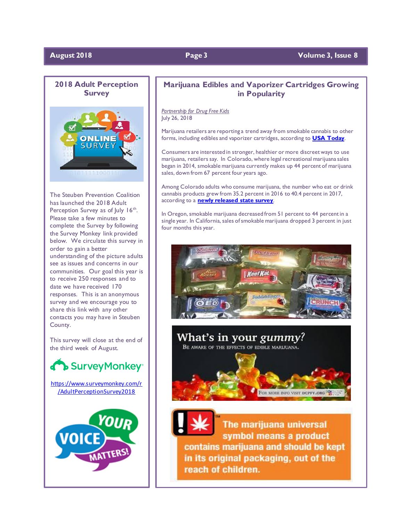# **August 2018 Page 3 Volume 3, Issue 8**



The Steuben Prevention Coalition has launched the 2018 Adult Perception Survey as of July 16<sup>th</sup>. Please take a few minutes to complete the Survey by following the Survey Monkey link provided below. We circulate this survey in order to gain a better understanding of the picture adults see as issues and concerns in our communities. Our goal this year is to receive 250 responses and to date we have received 170 responses. This is an anonymous survey and we encourage you to share this link with any other contacts you may have in Steuben County.

This survey will close at the end of the third week of August.



[https://www.surveymonkey.com/r](https://www.surveymonkey.com/r/AdultPerceptionSurvey2018) [/AdultPerceptionSurvey2018](https://www.surveymonkey.com/r/AdultPerceptionSurvey2018)



# **Marijuana Edibles and Vaporizer Cartridges Growing in Popularity**

*Partnership for Drug Free Kids* July 26, 2018

Marijuana retailers are reporting a trend away from smokable cannabis to other forms, including edibles and vaporizer cartridges, according to **[USA Today](https://www.usatoday.com/story/news/2018/07/24/marijuana-retailers-say-consumers-seeking-alternatives-smoking-pot/823668002/)**.

Consumers are interested in stronger, healthier or more discreet ways to use marijuana, retailers say. In Colorado, where legal recreational marijuana sales began in 2014, smokable marijuana currently makes up 44 percent of marijuana sales, down from 67 percent four years ago.

Among Colorado adults who consume marijuana, the number who eat or drink cannabis products grew from 35.2 percent in 2016 to 40.4 percent in 2017, according to a **[newly released state survey](https://www.colorado.gov/pacific/cdphe/behaviorsurvey)**.

In Oregon, smokable marijuana decreased from 51 percent to 44 percent in a single year. In California, sales of smokable marijuana dropped 3 percent in just four months this year.



What's in your gummy? BE AWARE OF THE EFFECTS OF EDIBLE MARIJUANA.



The marijuana universal symbol means a product contains marijuana and should be kept in its original packaging, out of the reach of children.